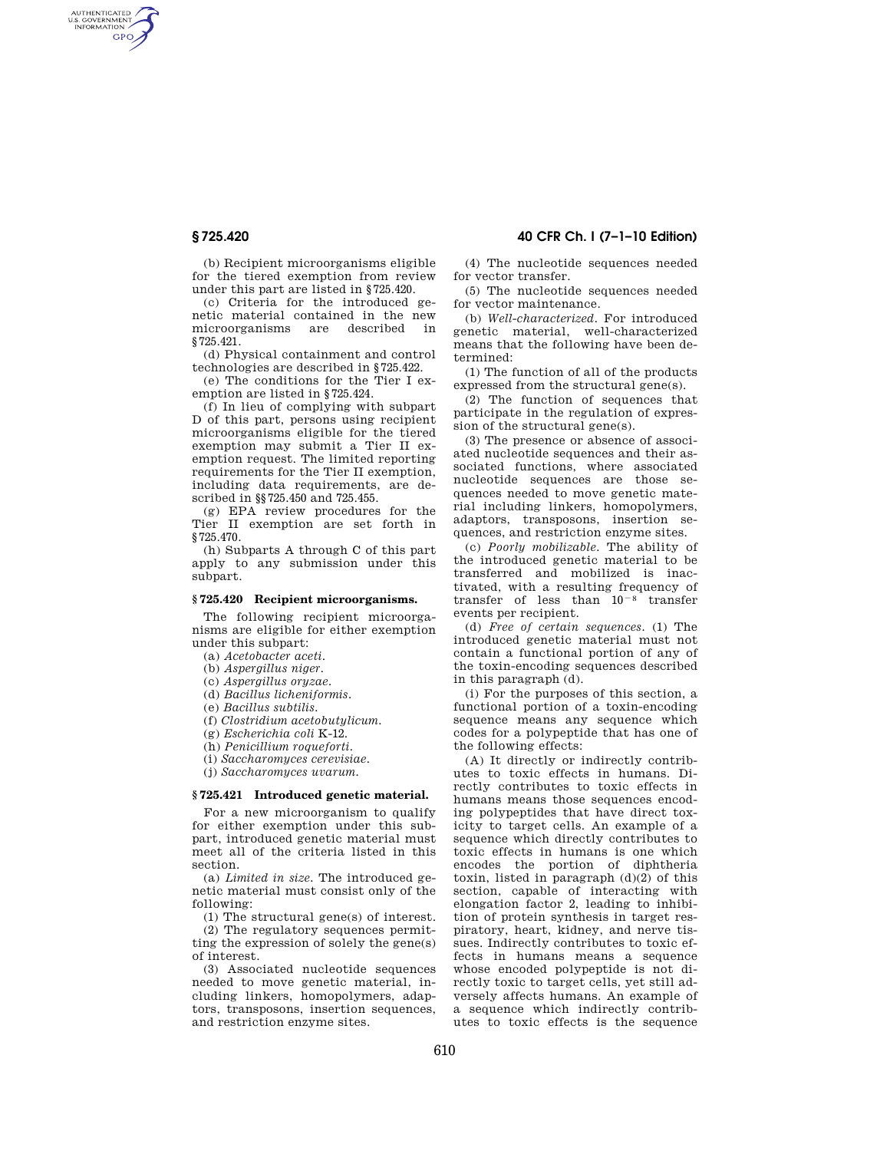AUTHENTICATED<br>U.S. GOVERNMENT<br>INFORMATION **GPO** 

> (b) Recipient microorganisms eligible for the tiered exemption from review under this part are listed in §725.420.

> (c) Criteria for the introduced genetic material contained in the new microorganisms are described in §725.421.

> (d) Physical containment and control technologies are described in §725.422.

> (e) The conditions for the Tier I exemption are listed in §725.424.

> (f) In lieu of complying with subpart D of this part, persons using recipient microorganisms eligible for the tiered exemption may submit a Tier II exemption request. The limited reporting requirements for the Tier II exemption, including data requirements, are described in §§725.450 and 725.455.

> (g) EPA review procedures for the Tier II exemption are set forth in §725.470.

> (h) Subparts A through C of this part apply to any submission under this subpart.

# **§ 725.420 Recipient microorganisms.**

The following recipient microorganisms are eligible for either exemption under this subpart:

(a) *Acetobacter aceti*.

(b) *Aspergillus niger.* 

(c) *Aspergillus oryzae.* 

(d) *Bacillus licheniformis.* 

(e) *Bacillus subtilis.* 

(f) *Clostridium acetobutylicum.* 

(g) *Escherichia coli* K-12.

(h) *Penicillium roqueforti.* 

(i) *Saccharomyces cerevisiae.* 

(j) *Saccharomyces uvarum.* 

# **§ 725.421 Introduced genetic material.**

For a new microorganism to qualify for either exemption under this subpart, introduced genetic material must meet all of the criteria listed in this section.

(a) *Limited in size.* The introduced genetic material must consist only of the following:

(1) The structural gene(s) of interest.

(2) The regulatory sequences permitting the expression of solely the gene(s) of interest.

(3) Associated nucleotide sequences needed to move genetic material, including linkers, homopolymers, adaptors, transposons, insertion sequences, and restriction enzyme sites.

**§ 725.420 40 CFR Ch. I (7–1–10 Edition)** 

(4) The nucleotide sequences needed for vector transfer.

(5) The nucleotide sequences needed for vector maintenance.

(b) *Well-characterized.* For introduced genetic material, well-characterized means that the following have been determined:

(1) The function of all of the products expressed from the structural gene(s).

(2) The function of sequences that participate in the regulation of expression of the structural gene(s).

(3) The presence or absence of associated nucleotide sequences and their associated functions, where associated nucleotide sequences are those sequences needed to move genetic material including linkers, homopolymers, adaptors, transposons, insertion sequences, and restriction enzyme sites.

(c) *Poorly mobilizable.* The ability of the introduced genetic material to be transferred and mobilized is inactivated, with a resulting frequency of transfer of less than  $10^{-8}$  transfer events per recipient.

(d) *Free of certain sequences.* (1) The introduced genetic material must not contain a functional portion of any of the toxin-encoding sequences described in this paragraph (d).

(i) For the purposes of this section, a functional portion of a toxin-encoding sequence means any sequence which codes for a polypeptide that has one of the following effects:

(A) It directly or indirectly contributes to toxic effects in humans. Directly contributes to toxic effects in humans means those sequences encoding polypeptides that have direct toxicity to target cells. An example of a sequence which directly contributes to toxic effects in humans is one which encodes the portion of diphtheria toxin, listed in paragraph  $(d)(2)$  of this section, capable of interacting with elongation factor 2, leading to inhibition of protein synthesis in target respiratory, heart, kidney, and nerve tissues. Indirectly contributes to toxic effects in humans means a sequence whose encoded polypeptide is not directly toxic to target cells, yet still adversely affects humans. An example of a sequence which indirectly contributes to toxic effects is the sequence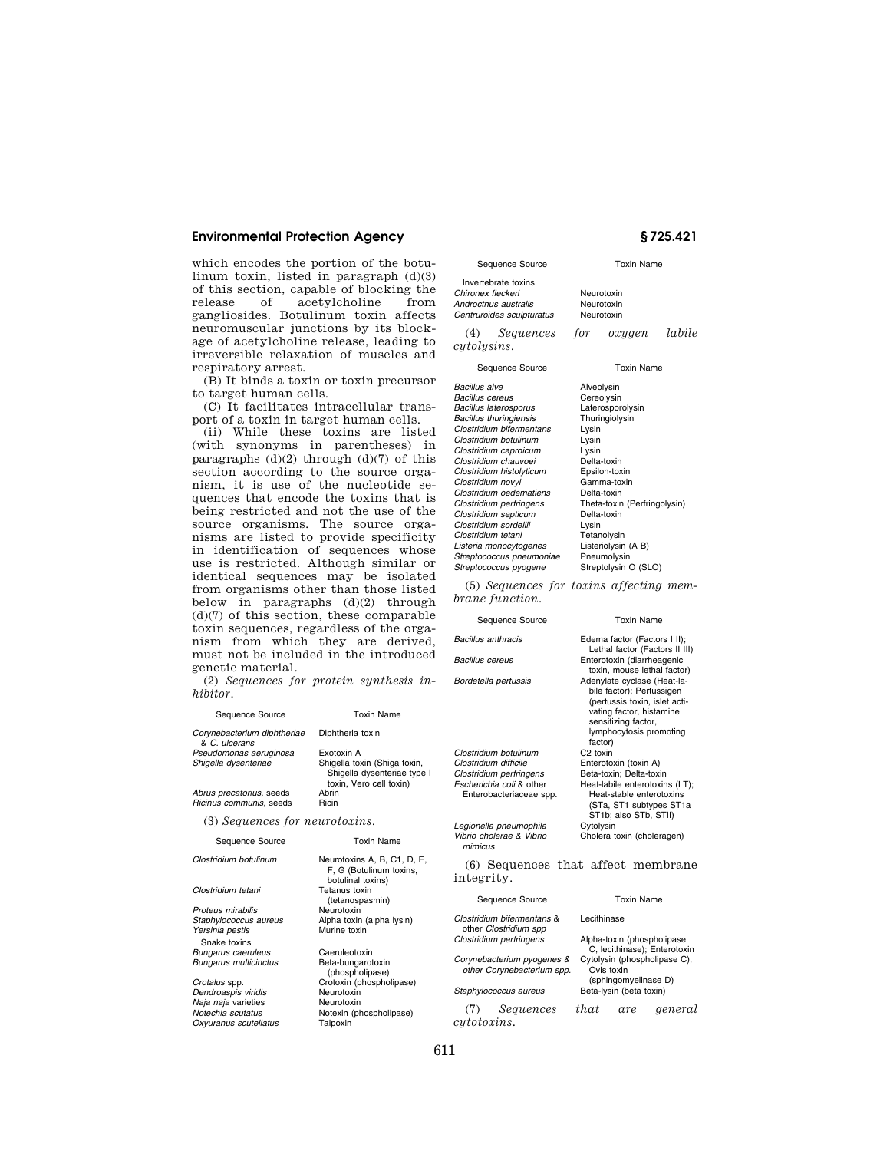# **Environmental Protection Agency § 725.421**

which encodes the portion of the botulinum toxin, listed in paragraph  $(d)(3)$ of this section, capable of blocking the acetylcholine gangliosides. Botulinum toxin affects neuromuscular junctions by its blockage of acetylcholine release, leading to irreversible relaxation of muscles and respiratory arrest.

(B) It binds a toxin or toxin precursor to target human cells.

(C) It facilitates intracellular transport of a toxin in target human cells.

(ii) While these toxins are listed (with synonyms in parentheses) in paragraphs  $(d)(2)$  through  $(d)(7)$  of this section according to the source organism, it is use of the nucleotide sequences that encode the toxins that is being restricted and not the use of the source organisms. The source organisms are listed to provide specificity in identification of sequences whose use is restricted. Although similar or identical sequences may be isolated from organisms other than those listed below in paragraphs (d)(2) through (d)(7) of this section, these comparable toxin sequences, regardless of the organism from which they are derived, must not be included in the introduced genetic material.

(2) *Sequences for protein synthesis inhibitor.* 

| Sequence Source                                     | <b>Toxin Name</b>                                                                                    |  |  |
|-----------------------------------------------------|------------------------------------------------------------------------------------------------------|--|--|
| Corynebacterium diphtheriae<br>& C. ulcerans        | Diphtheria toxin                                                                                     |  |  |
| Pseudomonas aeruginosa<br>Shigella dysenteriae      | Fxotoxin A<br>Shigella toxin (Shiga toxin,<br>Shigella dysenteriae type I<br>toxin, Vero cell toxin) |  |  |
| Abrus precatorius, seeds<br>Ricinus communis, seeds | Abrin<br>Ricin                                                                                       |  |  |
| (3) Sequences for neurotoxins.                      |                                                                                                      |  |  |
| Sequence Source                                     | <b>Toxin Name</b>                                                                                    |  |  |
| Clostridium botulinum                               | Neurotoxins A, B, C1, D, E,<br>F, G (Botulinum toxins,<br>botulinal toxins)                          |  |  |
| Clostridium tetani                                  | Tetanus toxin                                                                                        |  |  |
|                                                     |                                                                                                      |  |  |
|                                                     | (tetanospasmin)<br>Neurotoxin                                                                        |  |  |
| Proteus mirabilis                                   |                                                                                                      |  |  |
| Staphylococcus aureus<br>Yersinia pestis            | Alpha toxin (alpha lysin)<br>Murine toxin                                                            |  |  |
| Snake toxins                                        |                                                                                                      |  |  |
| Bungarus caeruleus                                  | Caeruleotoxin                                                                                        |  |  |
| <b>Bungarus multicinctus</b>                        | Beta-bungarotoxin<br>(phospholipase)                                                                 |  |  |

*Naja naja* varieties<br>*Notechia scutatus* 

**Oxyuranus scutellatus** 

*Dendroaspis viridis* Neurotoxin **Notexin (phospholipase)**<br>Taipoxin

Invertebrate toxins **Chironex fleckeri Neurotoxin**<br> **Chironic Androctnus australis Neurotoxin** *Androctnus australis* Neurotoxin **Centruroides sculpturatus** 

(4) *Sequences for oxygen labile* 

Sequence Source Toxin Name

# *cytolysins*.

*Bacillus alve* Alveolysin **Bacillus cereus Cereolysin**<br> **Cereolysin**<br> **Cacillus laterosporus Caterosporolysin Bacillus laterosporus**<br> **Bacillus thuringiensis**<br> **Community Change Thuringiolysin Bacillus thuringiensis Thuringiensis Thuring**<br>Clostridium bifermentans Lysin *Clostridium bifermentans* Lysin **Clostridium botulinum** *Clostridium caproicum* Lysin *Clostridium chauvoei* Delta-toxin *Clostridium histolyticum* Epsilon-toxin *Clostridium novyi* Gamma-toxin *Clostridium oedematiens*<br>*Clostridium perfringens* **Clostridium septicum**<br>Clostridium sordellii **Delta-***Clostridium sordellii* Lysin *Clostridium tetani Listeria monocytogenes* Listeriolysin (A B) *Streptococcus pneumoniae* Pneumolysin *Streptococcus pyogene* 

Sequence Source Toxin Name Theta-toxin (Perfringolysin)<br>Delta-toxin

(5) *Sequences for toxins affecting membrane function.* 

### Sequence Source **Toxin Name**

| <b>Bacillus anthracis</b>                           | Edema factor (Factors I II);<br>Lethal factor (Factors II III)                                                                                                                     |  |  |
|-----------------------------------------------------|------------------------------------------------------------------------------------------------------------------------------------------------------------------------------------|--|--|
| Bacillus cereus                                     | Enterotoxin (diarrheagenic<br>toxin, mouse lethal factor)                                                                                                                          |  |  |
| Bordetella pertussis                                | Adenylate cyclase (Heat-la-<br>bile factor); Pertussigen<br>(pertussis toxin, islet acti-<br>vating factor, histamine<br>sensitizing factor,<br>lymphocytosis promoting<br>factor) |  |  |
| Clostridium botulinum                               | C <sub>2</sub> toxin                                                                                                                                                               |  |  |
| Clostridium difficile                               | Enterotoxin (toxin A)                                                                                                                                                              |  |  |
| Clostridium perfringens                             | Beta-toxin; Delta-toxin                                                                                                                                                            |  |  |
| Escherichia coli & other<br>Enterobacteriaceae spp. | Heat-labile enterotoxins (LT);<br>Heat-stable enterotoxins<br>(STa, ST1 subtypes ST1a<br>ST1b; also STb, STII)                                                                     |  |  |
| Legionella pneumophila                              | Cytolysin                                                                                                                                                                          |  |  |
| Vibrio cholerae & Vibrio<br>mimicus                 | Cholera toxin (choleragen)                                                                                                                                                         |  |  |
| integrity.                                          | (6) Sequences that affect membrane                                                                                                                                                 |  |  |
| Sequence Source                                     | <b>Toxin Name</b>                                                                                                                                                                  |  |  |
| Clostridium bifermentans &                          | Lecithinase                                                                                                                                                                        |  |  |

|                                                          | Clostridium bifermentans &<br>other Clostridium spp | Lecithinase                                                        |            |         |
|----------------------------------------------------------|-----------------------------------------------------|--------------------------------------------------------------------|------------|---------|
|                                                          | Clostridium perfringens                             | Alpha-toxin (phospholipase<br>C, lecithinase); Enterotoxin         |            |         |
| Corynebacterium pyogenes &<br>other Corynebacterium spp. |                                                     | Cytolysin (phospholipase C),<br>Ovis toxin<br>(sphingomyelinase D) |            |         |
| Staphylococcus aureus                                    |                                                     | Beta-lysin (beta toxin)                                            |            |         |
|                                                          | Samoncos                                            | $+h$ $\alpha$ +                                                    | $\alpha v$ | aonoral |

(7) *Sequences that are general cytotoxins.*